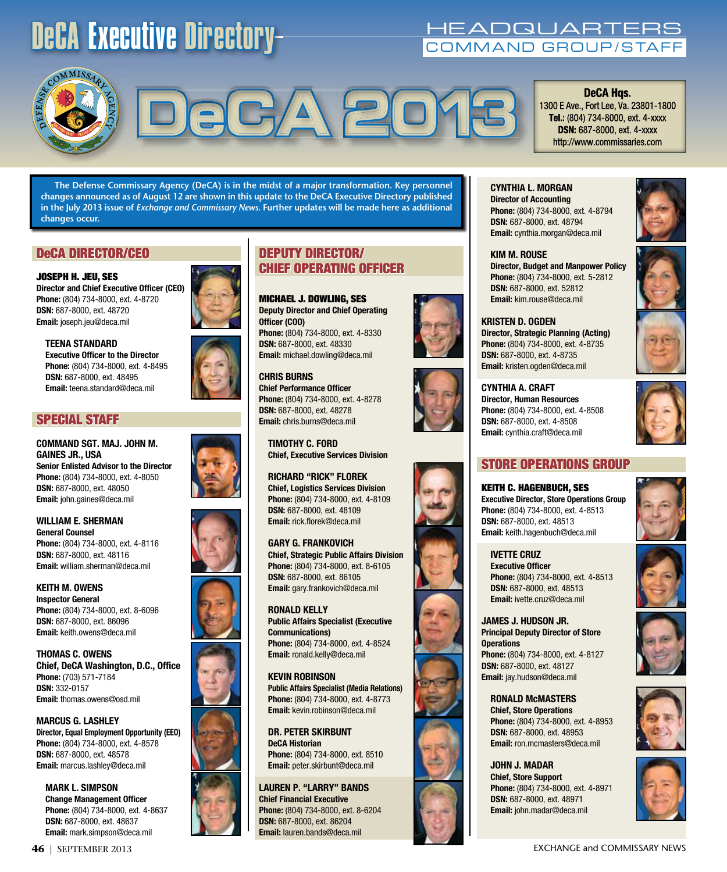## DeCA Executive Directory Medicines International DeCA Executive Directory Manual DeCA Executive International

**DeCA Hqs.** 1300 E Ave., Fort Lee, Va. 23801-1800 **Tel.:** (804) 734-8000, ext. 4-xxxx

http://www.commissaries.com



# DeCA Hgs.<br> **DECA Hgs.**<br>
Tel.: (804) 734-8000, ext. 4-xxx<br>
DSN: 687-8000, ext. 4-xxxx

**The Defense Commissary Agency (DeCA) is in the midst of a major transformation. Key personnel changes announced as of August 12 are shown in this update to the DeCA Executive Directory published in the July 2013 issue of** *Exchange and Commissary News***. Further updates will be made here as additional changes occur.** 

### DeCA DIRECTOR/CEO

JOSEPH H. JEU, SES **Director and Chief Executive Officer (CEO) Phone:** (804) 734-8000, ext. 4-8720 **DSN:** 687-8000, ext. 48720 **Email:** joseph.jeu@deca.mil



**TEENA STANDARD Executive Officer to the Director Phone:** (804) 734-8000, ext. 4-8495 **DSN:** 687-8000, ext. 48495 **Email:** teena.standard@deca.mil

#### SPECIAL STAFF

**COMMAND SGT. MAJ. JOHN M. GAINES JR., USA Senior Enlisted Advisor to the Director Phone:** (804) 734-8000, ext. 4-8050 **DSN:** 687-8000, ext. 48050 **Email:** john.gaines@deca.mil

**WILLIAM E. SHERMAN General Counsel Phone:** (804) 734-8000, ext. 4-8116 **DSN:** 687-8000, ext. 48116 **Email:** william.sherman@deca.mil

**KEITH M. OWENS Inspector General Phone:** (804) 734-8000, ext. 8-6096 **DSN:** 687-8000, ext. 86096 **Email:** keith.owens@deca.mil

**THOMAS C. OWENS Chief, DeCA Washington, D.C., Office Phone:** (703) 571-7184 **DSN:** 332-0157 **Email:** thomas.owens@osd.mil

**MARCUS G. LASHLEY Director, Equal Employment Opportunity (EEO) Phone:** (804) 734-8000, ext. 4-8578 **DSN:** 687-8000, ext. 48578 **Email:** marcus.lashley@deca.mil

**MARK L. SIMPSON Change Management Officer Phone:** (804) 734-8000, ext. 4-8637 **DSN:** 687-8000, ext. 48637 **Email:** mark.simpson@deca.mil

## DEPUTY DIRECTOR/ CHIEF OPERATING OFFICER

MICHAEL J. DOWLING, SES **Deputy Director and Chief Operating Officer (COO) Phone:** (804) 734-8000, ext. 4-8330 **DSN:** 687-8000, ext. 48330 **Email:** michael.dowling@deca.mil

**CHRIS BURNS Chief Performance Officer Phone:** (804) 734-8000, ext. 4-8278 **DSN:** 687-8000, ext. 48278 **Email:** chris.burns@deca.mil

**TIMOTHY C. FORD Chief, Executive Services Division**

**RICHARD "RICK" FLOREK Chief, Logistics Services Division Phone:** (804) 734-8000, ext. 4-8109 **DSN:** 687-8000, ext. 48109 **Email:** rick.florek@deca.mil

#### **GARY G. FRANKOVICH Chief, Strategic Public Affairs Division Phone:** (804) 734-8000, ext. 8-6105 **DSN:** 687-8000, ext. 86105 **Email:** gary.frankovich@deca.mil

**RONALD KELLY Public Affairs Specialist (Executive Communications) Phone:** (804) 734-8000, ext. 4-8524 **Email:** ronald.kelly@deca.mil

**KEVIN ROBINSON Public Affairs Specialist (Media Relations) Phone:** (804) 734-8000, ext. 4-8773 **Email:** kevin.robinson@deca.mil

**DR. PETER SKIRBUNT DeCA Historian Phone:** (804) 734-8000, ext. 8510 **Email:** peter.skirbunt@deca.mil

**LAUREN P. "LARRY" BANDS Chief Financial Executive Phone:** (804) 734-8000, ext. 8-6204 **DSN:** 687-8000, ext. 86204 **Email:** lauren.bands@deca.mil







**CYNTHIA L. MORGAN Director of Accounting Phone:** (804) 734-8000, ext. 4-8794 **DSN:** 687-8000, ext. 48794 **Email:** cynthia.morgan@deca.mil

**KIM M. ROUSE Director, Budget and Manpower Policy Phone:** (804) 734-8000, ext. 5-2812 **DSN:** 687-8000, ext. 52812 **Email:** kim.rouse@deca.mil

#### **KRISTEN D. OGDEN Director, Strategic Planning (Acting) Phone:** (804) 734-8000, ext. 4-8735 **DSN:** 687-8000, ext. 4-8735 **Email:** kristen.ogden@deca.mil

**CYNTHIA A. CRAFT Director, Human Resources Phone:** (804) 734-8000, ext. 4-8508 **DSN:** 687-8000, ext. 4-8508 **Email:** cynthia.craft@deca.mil



## STORE OPERATIONS GROUP

KEITH C. HAGENBUCH, SES **Executive Director, Store Operations Group Phone:** (804) 734-8000, ext. 4-8513 **DSN:** 687-8000, ext. 48513 **Email:** keith.hagenbuch@deca.mil

**IVETTE CRUZ Executive Officer Phone:** (804) 734-8000, ext. 4-8513 **DSN:** 687-8000, ext. 48513 **Email:** ivette.cruz@deca.mil

**JAMES J. HUDSON JR. Principal Deputy Director of Store Operations Phone:** (804) 734-8000, ext. 4-8127 **DSN:** 687-8000, ext. 48127 **Email:** jay.hudson@deca.mil

**RONALD McMASTERS Chief, Store Operations Phone:** (804) 734-8000, ext. 4-8953 **DSN:** 687-8000, ext. 48953 **Email:** ron.mcmasters@deca.mil

**JOHN J. MADAR Chief, Store Support Phone:** (804) 734-8000, ext. 4-8971 **DSN:** 687-8000, ext. 48971 **Email:** john.madar@deca.mil